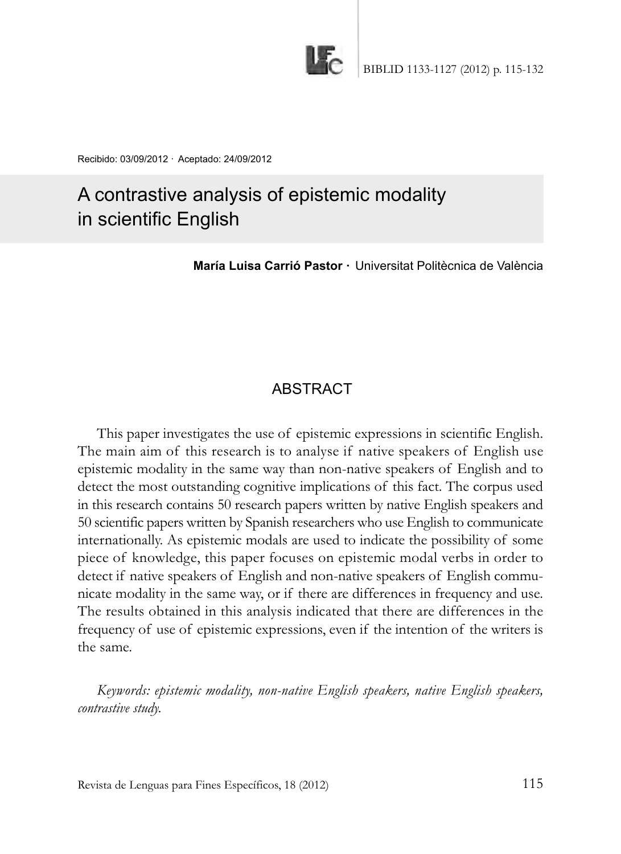

Recibido: 03/09/2012 · Aceptado: 24/09/2012

# A contrastive analysis of epistemic modality in scientific English

**María Luisa Carrió Pastor ·** Universitat Politècnica de València

## **ABSTRACT**

This paper investigates the use of epistemic expressions in scientific English. The main aim of this research is to analyse if native speakers of English use epistemic modality in the same way than non-native speakers of English and to detect the most outstanding cognitive implications of this fact. The corpus used in this research contains 50 research papers written by native English speakers and 50 scientific papers written by Spanish researchers who use English to communicate internationally. As epistemic modals are used to indicate the possibility of some piece of knowledge, this paper focuses on epistemic modal verbs in order to detect if native speakers of English and non-native speakers of English communicate modality in the same way, or if there are differences in frequency and use. The results obtained in this analysis indicated that there are differences in the frequency of use of epistemic expressions, even if the intention of the writers is the same.

*Keywords: epistemic modality, non-native English speakers, native English speakers, contrastive study.*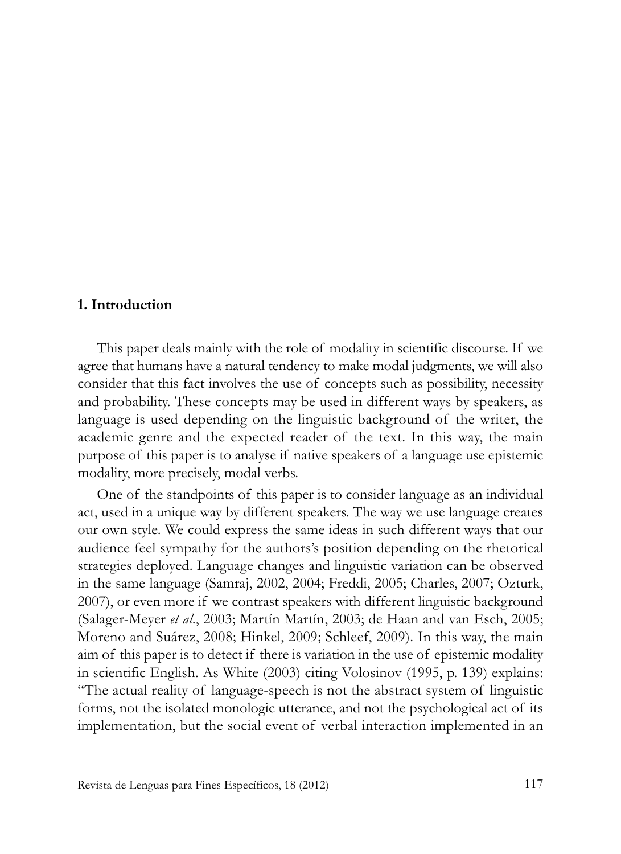#### **1. Introduction**

This paper deals mainly with the role of modality in scientific discourse. if we agree that humans have a natural tendency to make modal judgments, we will also consider that this fact involves the use of concepts such as possibility, necessity and probability. These concepts may be used in different ways by speakers, as language is used depending on the linguistic background of the writer, the academic genre and the expected reader of the text. in this way, the main purpose of this paper is to analyse if native speakers of a language use epistemic modality, more precisely, modal verbs.

One of the standpoints of this paper is to consider language as an individual act, used in a unique way by different speakers. The way we use language creates our own style. We could express the same ideas in such different ways that our audience feel sympathy for the authors's position depending on the rhetorical strategies deployed. language changes and linguistic variation can be observed in the same language (Samraj, 2002, 2004; Freddi, 2005; Charles, 2007; Ozturk, 2007), or even more if we contrast speakers with different linguistic background (Salager-Meyer *et al*., 2003; Martín Martín, 2003; de Haan and van Esch, 2005; Moreno and Suárez, 2008; Hinkel, 2009; Schleef, 2009). In this way, the main aim of this paper is to detect if there is variation in the use of epistemic modality in scientific English. As White (2003) citing Volosinov (1995, p. 139) explains: "The actual reality of language-speech is not the abstract system of linguistic forms, not the isolated monologic utterance, and not the psychological act of its implementation, but the social event of verbal interaction implemented in an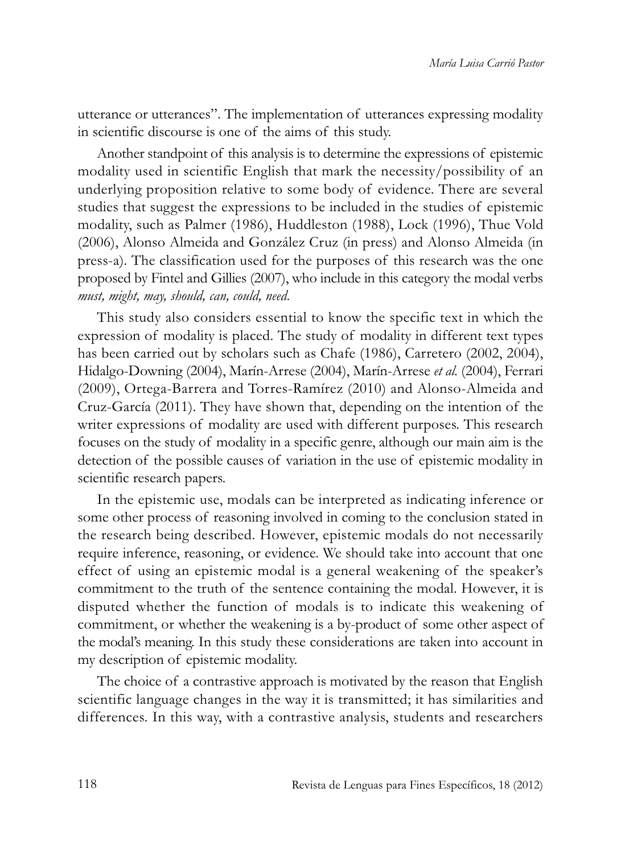utterance or utterances". The implementation of utterances expressing modality in scientific discourse is one of the aims of this study.

Another standpoint of this analysis is to determine the expressions of epistemic modality used in scientific English that mark the necessity/possibility of an underlying proposition relative to some body of evidence. There are several studies that suggest the expressions to be included in the studies of epistemic modality, such as Palmer (1986), Huddleston (1988), lock (1996), Thue Vold (2006), Alonso Almeida and González Cruz (in press) and Alonso Almeida (in press-a). The classification used for the purposes of this research was the one proposed by Fintel and Gillies (2007), who include in this category the modal verbs *must, might, may, should, can, could, need*.

This study also considers essential to know the specific text in which the expression of modality is placed. The study of modality in different text types has been carried out by scholars such as Chafe (1986), Carretero (2002, 2004), Hidalgo-Downing (2004), Marín-Arrese (2004), Marín-Arrese et al. (2004), Ferrari (2009), Ortega-Barrera and Torres-Ramírez (2010) and Alonso-Almeida and Cruz-García (2011). They have shown that, depending on the intention of the writer expressions of modality are used with different purposes. This research focuses on the study of modality in a specific genre, although our main aim is the detection of the possible causes of variation in the use of epistemic modality in scientific research papers.

In the epistemic use, modals can be interpreted as indicating inference or some other process of reasoning involved in coming to the conclusion stated in the research being described. However, epistemic modals do not necessarily require inference, reasoning, or evidence. We should take into account that one effect of using an epistemic modal is a general weakening of the speaker's commitment to the truth of the sentence containing the modal. However, it is disputed whether the function of modals is to indicate this weakening of commitment, or whether the weakening is a by-product of some other aspect of the modal's meaning. in this study these considerations are taken into account in my description of epistemic modality.

The choice of a contrastive approach is motivated by the reason that English scientific language changes in the way it is transmitted; it has similarities and differences. in this way, with a contrastive analysis, students and researchers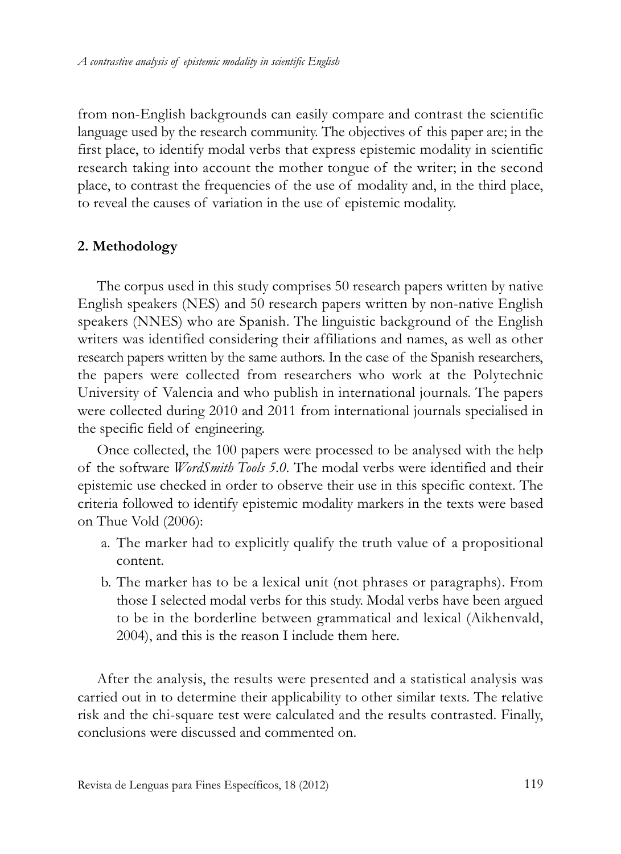from non-English backgrounds can easily compare and contrast the scientific language used by the research community. The objectives of this paper are; in the first place, to identify modal verbs that express epistemic modality in scientific research taking into account the mother tongue of the writer; in the second place, to contrast the frequencies of the use of modality and, in the third place, to reveal the causes of variation in the use of epistemic modality.

## **2. Methodology**

The corpus used in this study comprises 50 research papers written by native English speakers (NES) and 50 research papers written by non-native English speakers (NNES) who are Spanish. The linguistic background of the English writers was identified considering their affiliations and names, as well as other research papers written by the same authors. in the case of the Spanish researchers, the papers were collected from researchers who work at the Polytechnic University of Valencia and who publish in international journals. The papers were collected during 2010 and 2011 from international journals specialised in the specific field of engineering.

Once collected, the 100 papers were processed to be analysed with the help of the software *WordSmith Tools 5.0.* The modal verbs were identified and their epistemic use checked in order to observe their use in this specific context. The criteria followed to identify epistemic modality markers in the texts were based on Thue Vold (2006):

- a. The marker had to explicitly qualify the truth value of a propositional content.
- b. The marker has to be a lexical unit (not phrases or paragraphs). From those I selected modal verbs for this study. Modal verbs have been argued to be in the borderline between grammatical and lexical (Aikhenvald, 2004), and this is the reason I include them here.

After the analysis, the results were presented and a statistical analysis was carried out in to determine their applicability to other similar texts. The relative risk and the chi-square test were calculated and the results contrasted. Finally, conclusions were discussed and commented on.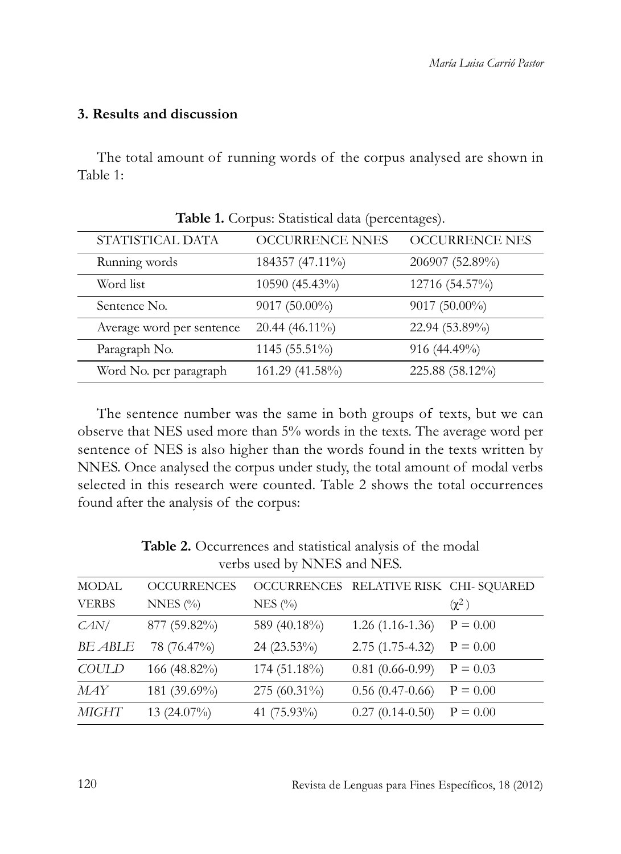## **3. Results and discussion**

The total amount of running words of the corpus analysed are shown in Table 1:

| <b>Table 1.</b> Corpus. Statistical data (percentages). |                  |                       |  |  |  |
|---------------------------------------------------------|------------------|-----------------------|--|--|--|
| STATISTICAL DATA                                        | OCCURRENCE NNES  | <b>OCCURRENCE NES</b> |  |  |  |
| Running words                                           | 184357 (47.11%)  | 206907 (52.89%)       |  |  |  |
| Word list                                               | 10590 (45.43%)   | 12716 (54.57%)        |  |  |  |
| Sentence No.                                            | $9017(50.00\%)$  | $9017(50.00\%)$       |  |  |  |
| Average word per sentence                               | $20.44(46.11\%)$ | 22.94 (53.89%)        |  |  |  |
| Paragraph No.                                           | $1145(55.51\%)$  | 916 (44.49%)          |  |  |  |
| Word No. per paragraph                                  | 161.29 (41.58%)  | 225.88 (58.12%)       |  |  |  |

**Table 1.** Corpus: Statistical data (percentages).

The sentence number was the same in both groups of texts, but we can observe that NES used more than 5% words in the texts. The average word per sentence of NES is also higher than the words found in the texts written by NNES. Once analysed the corpus under study, the total amount of modal verbs selected in this research were counted. Table 2 shows the total occurrences found after the analysis of the corpus:

| <b>MODAL</b> | <b>OCCURRENCES</b> |                | OCCURRENCES RELATIVE RISK CHI-SQUARED |            |
|--------------|--------------------|----------------|---------------------------------------|------------|
| <b>VERBS</b> | NNES $(\%)$        | NES $(\%)$     |                                       | $(\chi^2)$ |
| CAN/         | 877 (59.82%)       | 589 (40.18%)   | $1.26(1.16-1.36)$                     | $P = 0.00$ |
| BE ABLE      | 78 (76.47%)        | $24(23.53\%)$  | $2.75(1.75-4.32)$                     | $P = 0.00$ |
| COULD        | 166 (48.82%)       | $174(51.18\%)$ | $0.81(0.66-0.99)$                     | $P = 0.03$ |
| MAY          | 181 (39.69%)       | $275(60.31\%)$ | $0.56(0.47-0.66)$                     | $P = 0.00$ |
| <i>MIGHT</i> | 13 $(24.07\%)$     | 41 (75.93%)    | $0.27(0.14-0.50)$                     | $P = 0.00$ |

Table 2. Occurrences and statistical analysis of the modal verbs used by NNES and NES.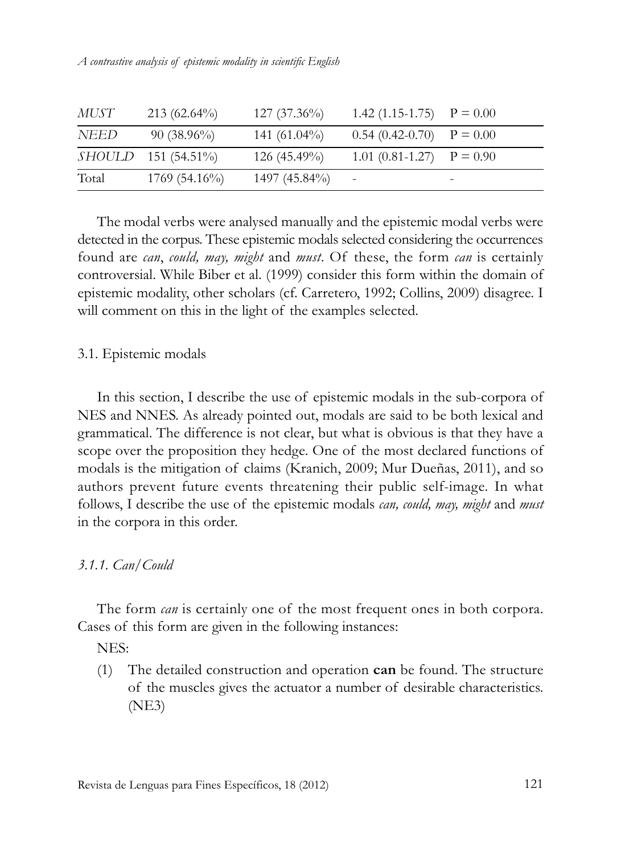| MUST  | $213(62.64\%)$        | $127(37.36\%)$ | 1.42 $(1.15-1.75)$ $P = 0.00$ |                          |
|-------|-----------------------|----------------|-------------------------------|--------------------------|
| NEED  | $90(38.96\%)$         | $141(61.04\%)$ | $0.54$ (0.42-0.70) $P = 0.00$ |                          |
|       | $SHOULD$ 151 (54.51%) | $126(45.49\%)$ | 1.01 $(0.81-1.27)$ P = 0.90   |                          |
| Total | $1769(54.16\%)$       | 1497 (45.84%)  | -                             | $\overline{\phantom{a}}$ |

The modal verbs were analysed manually and the epistemic modal verbs were detected in the corpus. These epistemic modals selected considering the occurrences found are *can*, *could, may, might* and *must*. Of these, the form *can* is certainly controversial. While Biber et al. (1999) consider this form within the domain of epistemic modality, other scholars (cf. Carretero, 1992; Collins, 2009) disagree. I will comment on this in the light of the examples selected.

#### 3.1. Epistemic modals

In this section, I describe the use of epistemic modals in the sub-corpora of NES and NNES. As already pointed out, modals are said to be both lexical and grammatical. The difference is not clear, but what is obvious is that they have a scope over the proposition they hedge. One of the most declared functions of modals is the mitigation of claims (Kranich, 2009; Mur Dueñas, 2011), and so authors prevent future events threatening their public self-image. In what follows, i describe the use of the epistemic modals *can, could, may, might* and *must* in the corpora in this order.

#### *3.1.1. Can/Could*

The form *can* is certainly one of the most frequent ones in both corpora. Cases of this form are given in the following instances:

NES:

(1) The detailed construction and operation **can** be found. The structure of the muscles gives the actuator a number of desirable characteristics. (NE3)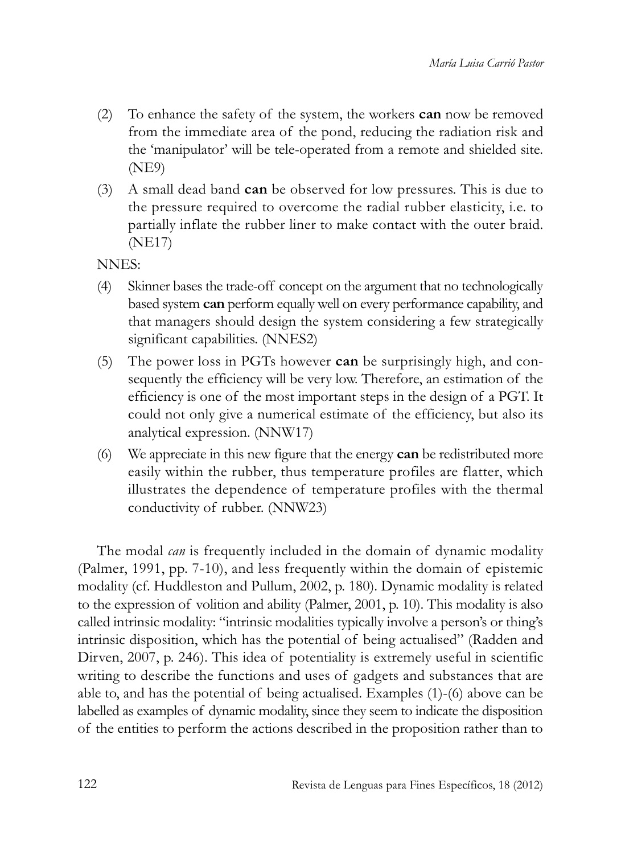- (2) To enhance the safety of the system, the workers **can** now be removed from the immediate area of the pond, reducing the radiation risk and the 'manipulator' will be tele-operated from a remote and shielded site. (NE9)
- (3) A small dead band **can** be observed for low pressures. This is due to the pressure required to overcome the radial rubber elasticity, i.e. to partially inflate the rubber liner to make contact with the outer braid. (NE17)

NNES:

- (4) Skinner bases the trade-off concept on the argument that no technologically based system **can** perform equally well on every performance capability, and that managers should design the system considering a few strategically significant capabilities. (NNES2)
- (5) The power loss in PGTs however **can** be surprisingly high, and consequently the efficiency will be very low. Therefore, an estimation of the efficiency is one of the most important steps in the design of a PGT. it could not only give a numerical estimate of the efficiency, but also its analytical expression. (NNW17)
- (6) We appreciate in this new figure that the energy **can** be redistributed more easily within the rubber, thus temperature profiles are flatter, which illustrates the dependence of temperature profiles with the thermal conductivity of rubber. (NNW23)

The modal *can* is frequently included in the domain of dynamic modality (Palmer, 1991, pp. 7-10), and less frequently within the domain of epistemic modality (cf. Huddleston and Pullum, 2002, p. 180). Dynamic modality is related to the expression of volition and ability (Palmer, 2001, p. 10). This modality is also called intrinsic modality: "intrinsic modalities typically involve a person's or thing's intrinsic disposition, which has the potential of being actualised" (Radden and Dirven, 2007, p. 246). This idea of potentiality is extremely useful in scientific writing to describe the functions and uses of gadgets and substances that are able to, and has the potential of being actualised. Examples (1)-(6) above can be labelled as examples of dynamic modality, since they seem to indicate the disposition of the entities to perform the actions described in the proposition rather than to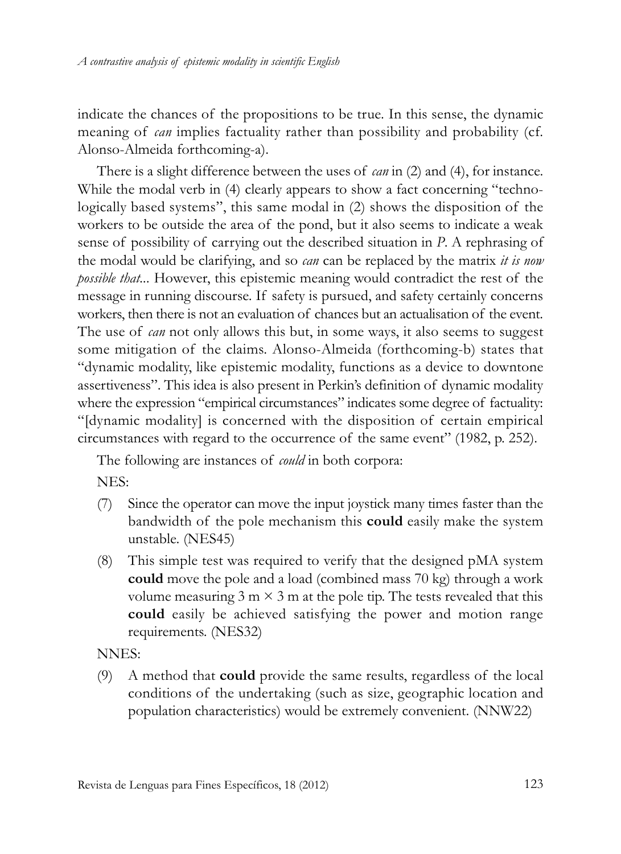indicate the chances of the propositions to be true. In this sense, the dynamic meaning of *can* implies factuality rather than possibility and probability (cf. Alonso-Almeida forthcoming-a).

There is a slight difference between the uses of *can* in (2) and (4), for instance. While the modal verb in (4) clearly appears to show a fact concerning "technologically based systems", this same modal in (2) shows the disposition of the workers to be outside the area of the pond, but it also seems to indicate a weak sense of possibility of carrying out the described situation in *P*. A rephrasing of the modal would be clarifying, and so *can* can be replaced by the matrix *it is now possible that...* However, this epistemic meaning would contradict the rest of the message in running discourse. if safety is pursued, and safety certainly concerns workers, then there is not an evaluation of chances but an actualisation of the event. The use of *can* not only allows this but, in some ways, it also seems to suggest some mitigation of the claims. Alonso-Almeida (forthcoming-b) states that "dynamic modality, like epistemic modality, functions as a device to downtone assertiveness". This idea is also present in Perkin's definition of dynamic modality where the expression "empirical circumstances" indicates some degree of factuality: "[dynamic modality] is concerned with the disposition of certain empirical circumstances with regard to the occurrence of the same event" (1982, p. 252).

The following are instances of *could* in both corpora:

NES:

- (7) Since the operator can move the input joystick many times faster than the bandwidth of the pole mechanism this **could** easily make the system unstable. (NES45)
- (8) This simple test was required to verify that the designed pMA system **could** move the pole and a load (combined mass 70 kg) through a work volume measuring  $3 \text{ m} \times 3 \text{ m}$  at the pole tip. The tests revealed that this **could** easily be achieved satisfying the power and motion range requirements. (NES32)

NNES:

(9) A method that **could** provide the same results, regardless of the local conditions of the undertaking (such as size, geographic location and population characteristics) would be extremely convenient. (NNW22)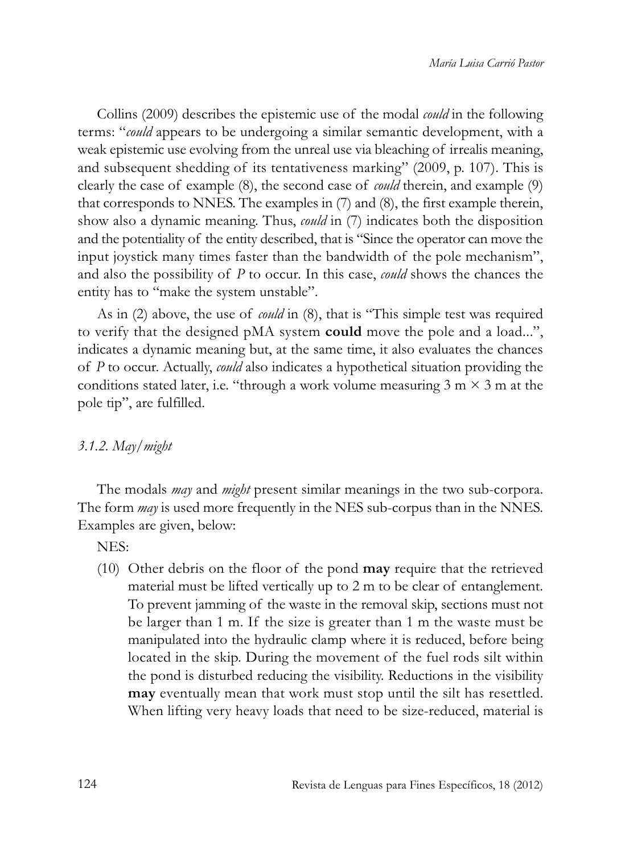Collins (2009) describes the epistemic use of the modal *could* in the following terms: "*could* appears to be undergoing a similar semantic development, with a weak epistemic use evolving from the unreal use via bleaching of irrealis meaning, and subsequent shedding of its tentativeness marking" (2009, p. 107). This is clearly the case of example (8), the second case of *could* therein, and example (9) that corresponds to NNES. The examples in (7) and (8), the first example therein, show also a dynamic meaning. Thus, *could* in (7) indicates both the disposition and the potentiality of the entity described, that is "Since the operator can move the input joystick many times faster than the bandwidth of the pole mechanism", and also the possibility of *P* to occur. in this case, *could* shows the chances the entity has to "make the system unstable".

As in (2) above, the use of *could* in (8), that is "This simple test was required to verify that the designed pMA system **could** move the pole and a load...", indicates a dynamic meaning but, at the same time, it also evaluates the chances of *P* to occur. Actually, *could* also indicates a hypothetical situation providing the conditions stated later, i.e. "through a work volume measuring  $3 \text{ m} \times 3 \text{ m}$  at the pole tip", are fulfilled.

## *3.1.2. May/might*

The modals *may* and *might* present similar meanings in the two sub-corpora. The form *may* is used more frequently in the NES sub-corpus than in the NNES. Examples are given, below:

NES:

(10) Other debris on the floor of the pond **may** require that the retrieved material must be lifted vertically up to 2 m to be clear of entanglement. To prevent jamming of the waste in the removal skip, sections must not be larger than 1 m. if the size is greater than 1 m the waste must be manipulated into the hydraulic clamp where it is reduced, before being located in the skip. During the movement of the fuel rods silt within the pond is disturbed reducing the visibility. Reductions in the visibility **may** eventually mean that work must stop until the silt has resettled. When lifting very heavy loads that need to be size-reduced, material is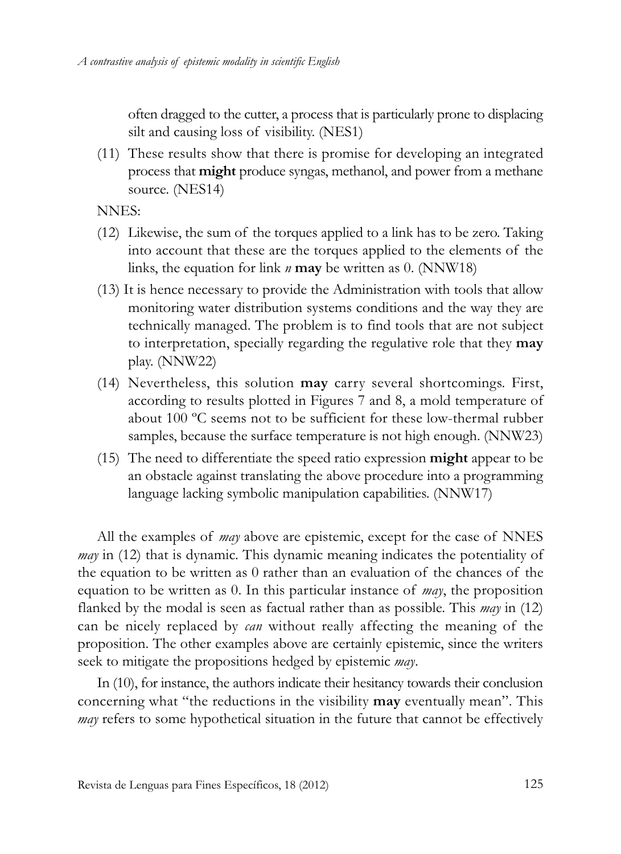often dragged to the cutter, a process that is particularly prone to displacing silt and causing loss of visibility. (NES1)

(11) These results show that there is promise for developing an integrated process that **might** produce syngas, methanol, and power from a methane source. (NES14)

NNES:

- (12) likewise, the sum of the torques applied to a link has to be zero. Taking into account that these are the torques applied to the elements of the links, the equation for link *n* **may** be written as 0. (NNW18)
- (13) it is hence necessary to provide the Administration with tools that allow monitoring water distribution systems conditions and the way they are technically managed. The problem is to find tools that are not subject to interpretation, specially regarding the regulative role that they **may** play. (NNW22)
- (14) Nevertheless, this solution **may** carry several shortcomings. First, according to results plotted in Figures 7 and 8, a mold temperature of about 100 ºC seems not to be sufficient for these low-thermal rubber samples, because the surface temperature is not high enough. (NNW23)
- (15) The need to differentiate the speed ratio expression **might** appear to be an obstacle against translating the above procedure into a programming language lacking symbolic manipulation capabilities. (NNW17)

All the examples of *may* above are epistemic, except for the case of NNES *may* in (12) that is dynamic. This dynamic meaning indicates the potentiality of the equation to be written as 0 rather than an evaluation of the chances of the equation to be written as 0. in this particular instance of *may*, the proposition flanked by the modal is seen as factual rather than as possible. This *may* in (12) can be nicely replaced by *can* without really affecting the meaning of the proposition. The other examples above are certainly epistemic, since the writers seek to mitigate the propositions hedged by epistemic *may*.

In (10), for instance, the authors indicate their hesitancy towards their conclusion concerning what "the reductions in the visibility **may** eventually mean". This *may* refers to some hypothetical situation in the future that cannot be effectively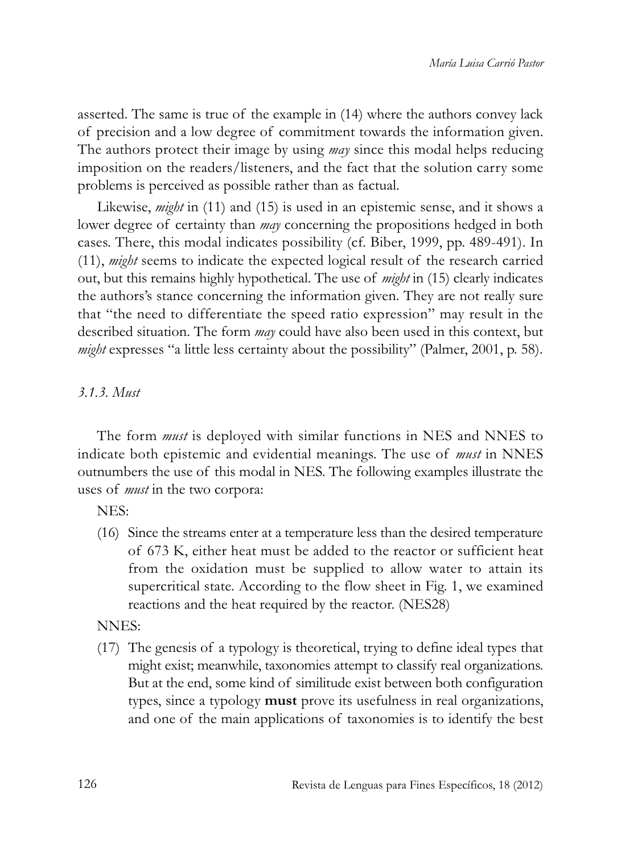asserted. The same is true of the example in (14) where the authors convey lack of precision and a low degree of commitment towards the information given. The authors protect their image by using *may* since this modal helps reducing imposition on the readers/listeners, and the fact that the solution carry some problems is perceived as possible rather than as factual.

Likewise, *might* in (11) and (15) is used in an epistemic sense, and it shows a lower degree of certainty than *may* concerning the propositions hedged in both cases. There, this modal indicates possibility (cf. Biber, 1999, pp. 489-491). in (11), *might* seems to indicate the expected logical result of the research carried out, but this remains highly hypothetical. The use of *might* in (15) clearly indicates the authors's stance concerning the information given. They are not really sure that "the need to differentiate the speed ratio expression" may result in the described situation. The form *may* could have also been used in this context, but *might* expresses "a little less certainty about the possibility" (Palmer, 2001, p. 58).

## *3.1.3. Must*

The form *must* is deployed with similar functions in NES and NNES to indicate both epistemic and evidential meanings. The use of *must* in NNES outnumbers the use of this modal in NES. The following examples illustrate the uses of *must* in the two corpora:

NES:

(16) Since the streams enter at a temperature less than the desired temperature of 673 K, either heat must be added to the reactor or sufficient heat from the oxidation must be supplied to allow water to attain its supercritical state. According to the flow sheet in Fig. 1, we examined reactions and the heat required by the reactor. (NES28)

NNES:

(17) The genesis of a typology is theoretical, trying to define ideal types that might exist; meanwhile, taxonomies attempt to classify real organizations. But at the end, some kind of similitude exist between both configuration types, since a typology **must** prove its usefulness in real organizations, and one of the main applications of taxonomies is to identify the best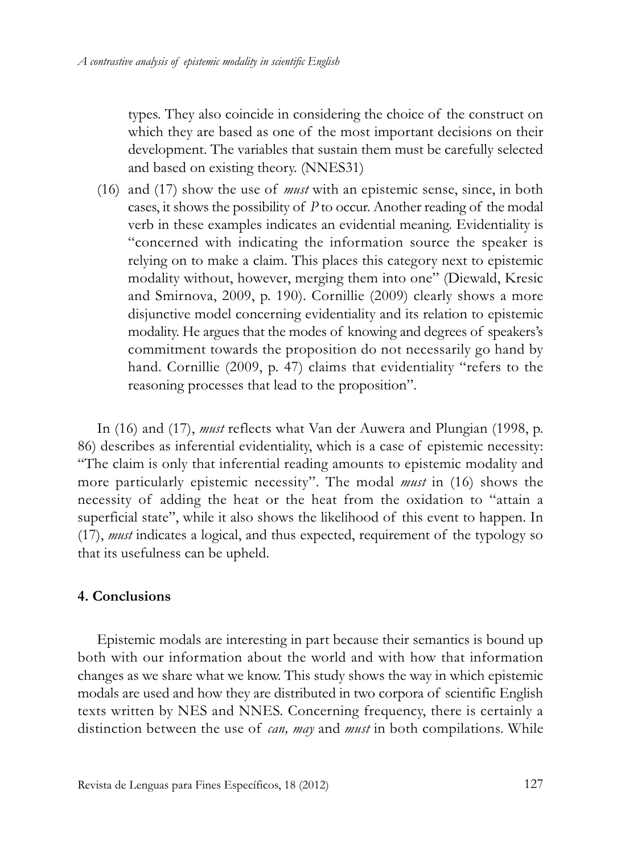types. They also coincide in considering the choice of the construct on which they are based as one of the most important decisions on their development. The variables that sustain them must be carefully selected and based on existing theory. (NNES31)

(16) and (17) show the use of *must* with an epistemic sense, since, in both cases, it shows the possibility of *P* to occur. Another reading of the modal verb in these examples indicates an evidential meaning. Evidentiality is "concerned with indicating the information source the speaker is relying on to make a claim. This places this category next to epistemic modality without, however, merging them into one" (Diewald, Kresic and Smirnova, 2009, p. 190). Cornillie (2009) clearly shows a more disjunctive model concerning evidentiality and its relation to epistemic modality. He argues that the modes of knowing and degrees of speakers's commitment towards the proposition do not necessarily go hand by hand. Cornillie (2009, p. 47) claims that evidentiality "refers to the reasoning processes that lead to the proposition".

in (16) and (17), *must* reflects what Van der Auwera and Plungian (1998, p. 86) describes as inferential evidentiality, which is a case of epistemic necessity: "The claim is only that inferential reading amounts to epistemic modality and more particularly epistemic necessity". The modal *must* in (16) shows the necessity of adding the heat or the heat from the oxidation to "attain a superficial state", while it also shows the likelihood of this event to happen. In (17), *must* indicates a logical, and thus expected, requirement of the typology so that its usefulness can be upheld.

#### **4. Conclusions**

Epistemic modals are interesting in part because their semantics is bound up both with our information about the world and with how that information changes as we share what we know. This study shows the way in which epistemic modals are used and how they are distributed in two corpora of scientific English texts written by NES and NNES. Concerning frequency, there is certainly a distinction between the use of *can, may* and *must* in both compilations. While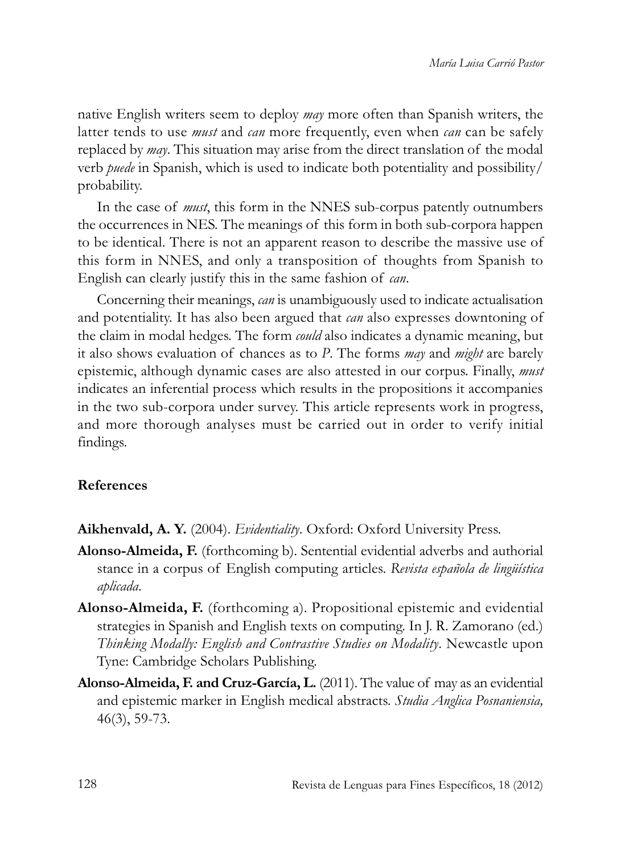native English writers seem to deploy *may* more often than Spanish writers, the latter tends to use *must* and *can* more frequently, even when *can* can be safely replaced by *may*. This situation may arise from the direct translation of the modal verb *puede* in Spanish, which is used to indicate both potentiality and possibility/ probability.

In the case of *must*, this form in the NNES sub-corpus patently outnumbers the occurrences in NES. The meanings of this form in both sub-corpora happen to be identical. There is not an apparent reason to describe the massive use of this form in NNES, and only a transposition of thoughts from Spanish to English can clearly justify this in the same fashion of *can*.

Concerning their meanings, *can* is unambiguously used to indicate actualisation and potentiality. it has also been argued that *can* also expresses downtoning of the claim in modal hedges. The form *could* also indicates a dynamic meaning, but it also shows evaluation of chances as to *P*. The forms *may* and *might* are barely epistemic, although dynamic cases are also attested in our corpus. Finally, *must* indicates an inferential process which results in the propositions it accompanies in the two sub-corpora under survey. This article represents work in progress, and more thorough analyses must be carried out in order to verify initial findings.

## **References**

**Aikhenvald, A. Y.** (2004). *Evidentiality*. Oxford: Oxford University Press.

- **Alonso-Almeida, F.** (forthcoming b). Sentential evidential adverbs and authorial stance in a corpus of English computing articles. *Revista española de lingüística aplicada*.
- **Alonso-Almeida, F.** (forthcoming a). Propositional epistemic and evidential strategies in Spanish and English texts on computing. In J. R. Zamorano (ed.) *Thinking Modally: English and Contrastive Studies on Modality*. Newcastle upon Tyne: Cambridge Scholars Publishing.
- **Alonso-Almeida, F. and Cruz-García, L.** (2011). The value of may as an evidential and epistemic marker in English medical abstracts. *Studia Anglica Posnaniensia,* 46(3), 59-73.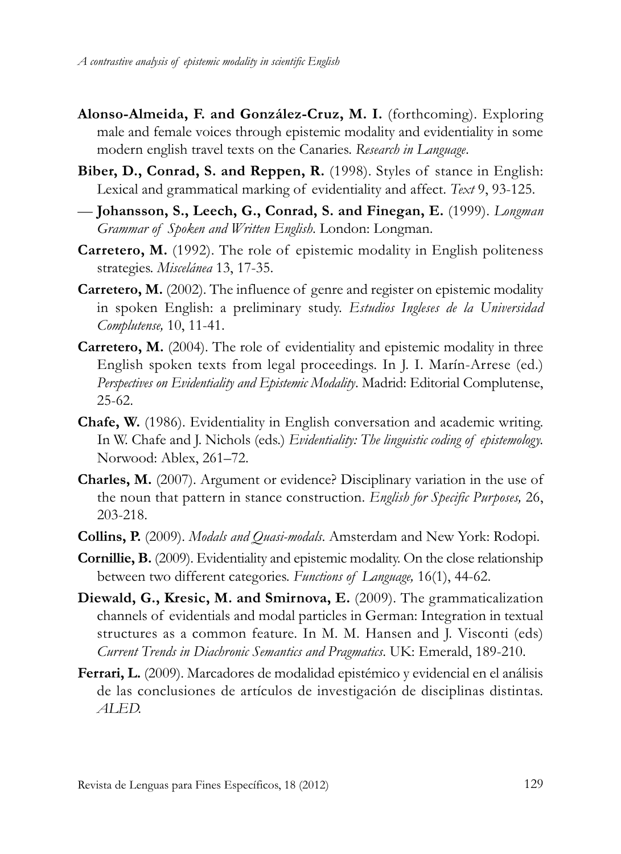- **Alonso-Almeida, F. and González-Cruz, M. I.** (forthcoming). Exploring male and female voices through epistemic modality and evidentiality in some modern english travel texts on the Canaries. *Research in Language*.
- **Biber, D., Conrad, S. and Reppen, R.** (1998). Styles of stance in English: lexical and grammatical marking of evidentiality and affect. *Text* 9, 93-125.
- **Johansson, S., Leech, G., Conrad, S. and Finegan, E.** (1999). *Longman Grammar of Spoken and Written English*. london: longman.
- **Carretero, M.** (1992). The role of epistemic modality in English politeness strategies. *Miscelánea* 13, 17-35.
- **Carretero, M.** (2002). The influence of genre and register on epistemic modality in spoken English: a preliminary study. *Estudios Ingleses de la Universidad Complutense,* 10, 11-41.
- **Carretero, M.** (2004). The role of evidentiality and epistemic modality in three English spoken texts from legal proceedings. in J. i. Marín-Arrese (ed.) Perspectives on Evidentiality and Epistemic Modality. Madrid: Editorial Complutense, 25-62.
- **Chafe, W.** (1986). Evidentiality in English conversation and academic writing. in W. Chafe and J. Nichols (eds.) *Evidentiality: The linguistic coding of epistemology.* Norwood: Ablex, 261–72.
- **Charles, M.** (2007). Argument or evidence? Disciplinary variation in the use of the noun that pattern in stance construction. *English for Specific Purposes,* 26, 203-218.
- **Collins, P.** (2009). *Modals and Quasi-modals*. Amsterdam and New York: Rodopi.
- **Cornillie, B.** (2009). Evidentiality and epistemic modality. On the close relationship between two different categories. *Functions of Language,* 16(1), 44-62.
- **Diewald, G., Kresic, M. and Smirnova, E.** (2009). The grammaticalization channels of evidentials and modal particles in German: integration in textual structures as a common feature. in M. M. Hansen and J. Visconti (eds) *Current Trends in Diachronic Semantics and Pragmatics*. UK: Emerald, 189-210.
- **Ferrari, L.** (2009). Marcadores de modalidad epistémico y evidencial en el análisis de las conclusiones de artículos de investigación de disciplinas distintas. *ALED.*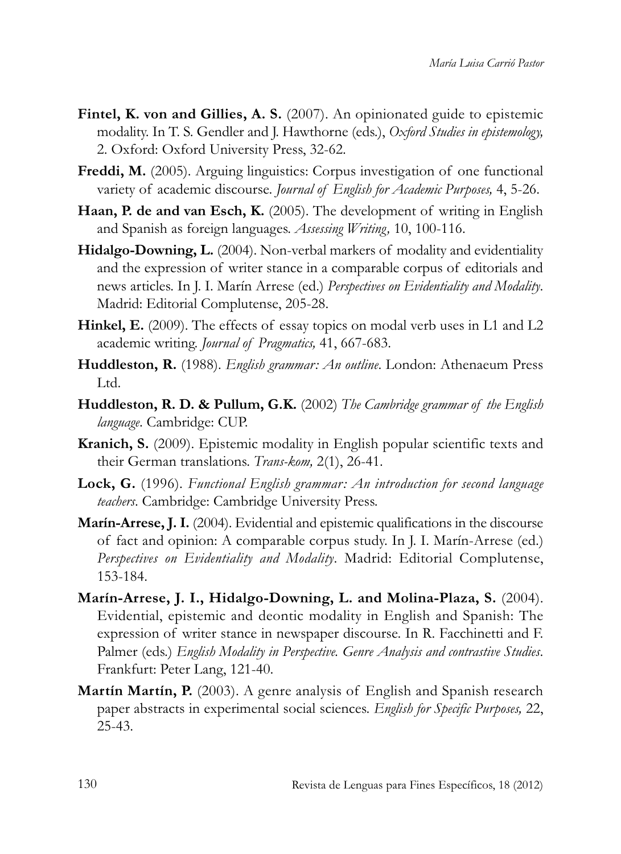- Fintel, K. von and Gillies, A. S. (2007). An opinionated guide to epistemic modality. in T. S. Gendler and J. Hawthorne (eds.), *Oxford Studies in epistemology,* 2. Oxford: Oxford University Press, 32-62.
- **Freddi, M.** (2005). Arguing linguistics: Corpus investigation of one functional variety of academic discourse. *Journal of English for Academic Purposes,* 4, 5-26.
- Haan, P. de and van Esch, K. (2005). The development of writing in English and Spanish as foreign languages. *Assessing Writing,* 10, 100-116.
- **Hidalgo-Downing, L.** (2004). Non-verbal markers of modality and evidentiality and the expression of writer stance in a comparable corpus of editorials and news articles. in J. i. Marín Arrese (ed.) *Perspectives on Evidentiality and Modality*. Madrid: Editorial Complutense, 205-28.
- Hinkel, E. (2009). The effects of essay topics on modal verb uses in L1 and L2 academic writing. *Journal of Pragmatics,* 41, 667-683.
- **Huddleston, R.** (1988). *English grammar: An outline*. london: Athenaeum Press L<sub>td</sub>.
- **Huddleston, R. D. & Pullum, G.K.** (2002) *The Cambridge grammar of the English language*. Cambridge: CUP.
- **Kranich, S.** (2009). Epistemic modality in English popular scientific texts and their German translations. *Trans-kom,* 2(1), 26-41.
- **Lock, G.** (1996). *Functional English grammar: An introduction for second language teachers*. Cambridge: Cambridge University Press.
- **Marín-Arrese, J. I.** (2004). Evidential and epistemic qualifications in the discourse of fact and opinion: A comparable corpus study. in J. i. Marín-Arrese (ed.) *Perspectives on Evidentiality and Modality*. Madrid: Editorial Complutense, 153-184.
- **Marín-Arrese, J. I., Hidalgo-Downing, L. and Molina-Plaza, S.** (2004). Evidential, epistemic and deontic modality in English and Spanish: The expression of writer stance in newspaper discourse. In R. Facchinetti and F. Palmer (eds.) *English Modality in Perspective. Genre Analysis and contrastive Studies*. Frankfurt: Peter lang, 121-40.
- **Martín Martín, P.** (2003). A genre analysis of English and Spanish research paper abstracts in experimental social sciences. *English for Specific Purposes,* 22, 25-43.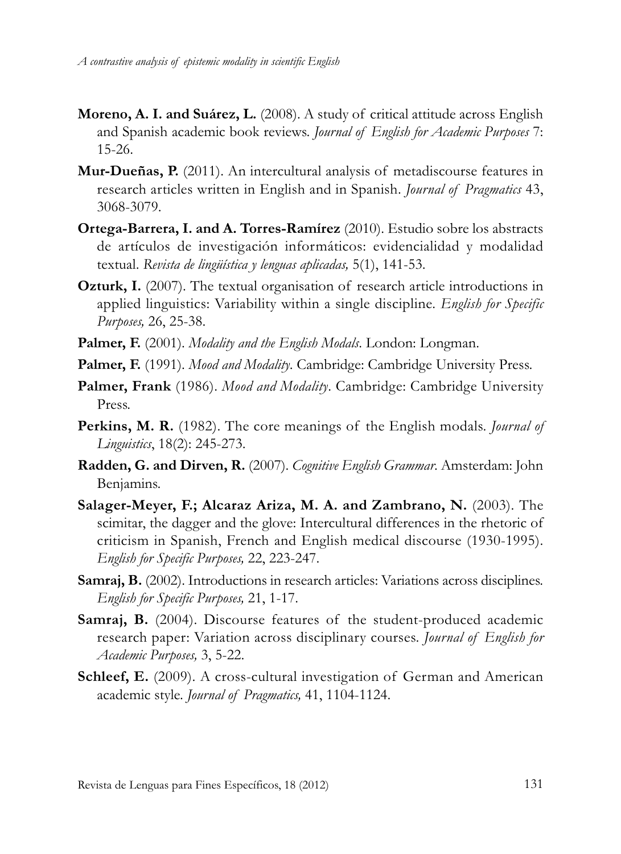- **Moreno, A. I. and Suárez, L.** (2008). A study of critical attitude across English and Spanish academic book reviews. *Journal of English for Academic Purposes* 7: 15-26.
- **Mur-Dueñas, P.** (2011). An intercultural analysis of metadiscourse features in research articles written in English and in Spanish. *Journal of Pragmatics* 43, 3068-3079.
- **Ortega-Barrera, I. and A. Torres-Ramírez** (2010). Estudio sobre los abstracts de artículos de investigación informáticos: evidencialidad y modalidad textual. *Revista de lingüística y lenguas aplicadas,* 5(1), 141-53.
- **Ozturk, I.** (2007). The textual organisation of research article introductions in applied linguistics: Variability within a single discipline. *English for Specific Purposes,* 26, 25-38.
- Palmer, F. (2001). *Modality and the English Modals*. London: Longman.
- **Palmer, F.** (1991). *Mood and Modality*. Cambridge: Cambridge University Press.
- **Palmer, Frank** (1986). *Mood and Modality*. Cambridge: Cambridge University Press.
- **Perkins, M. R.** (1982). The core meanings of the English modals. *Journal of Linguistics*, 18(2): 245-273.
- **Radden, G. and Dirven, R.** (2007). *Cognitive English Grammar*. Amsterdam: John Benjamins.
- **Salager-Meyer, F.; Alcaraz Ariza, M. A. and Zambrano, N.** (2003). The scimitar, the dagger and the glove: Intercultural differences in the rhetoric of criticism in Spanish, French and English medical discourse (1930-1995). *English for Specific Purposes,* 22, 223-247.
- Samraj, B. (2002). Introductions in research articles: Variations across disciplines. *English for Specific Purposes,* 21, 1-17.
- **Samraj, B.** (2004). Discourse features of the student-produced academic research paper: Variation across disciplinary courses. *Journal of English for Academic Purposes,* 3, 5-22.
- **Schleef, E.** (2009). A cross-cultural investigation of German and American academic style. *Journal of Pragmatics,* 41, 1104-1124.